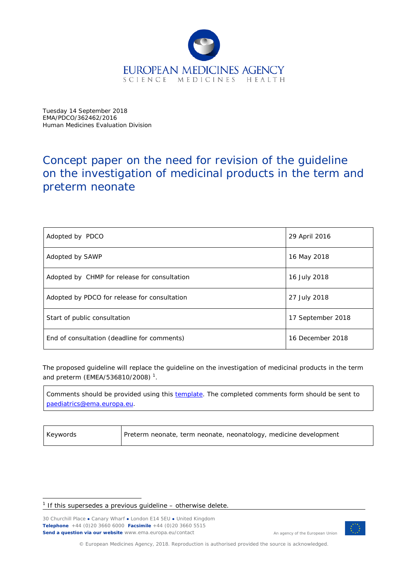

Tuesday 14 September 2018 EMA/PDCO/362462/2016 Human Medicines Evaluation Division

# Concept paper on the need for revision of the guideline on the investigation of medicinal products in the term and preterm neonate

| Adopted by PDCO                              | 29 April 2016     |
|----------------------------------------------|-------------------|
| Adopted by SAWP                              | 16 May 2018       |
| Adopted by CHMP for release for consultation | 16 July 2018      |
| Adopted by PDCO for release for consultation | 27 July 2018      |
| Start of public consultation                 | 17 September 2018 |
| End of consultation (deadline for comments)  | 16 December 2018  |

The proposed guideline will replace the guideline on the investigation of medicinal products in the term and preterm (EMEA/5368[1](#page-0-0)0/2008)<sup>1</sup>.

Comments should be provided using this [template.](http://www.ema.europa.eu/docs/en_GB/document_library/Template_or_form/2009/10/WC500004016.doc) The completed comments form should be sent to [paediatrics@ema.europa.eu.](mailto:paediatrics@ema.europa.eu)

| Keywords | Preterm neonate, term neonate, neonatology, medicine development |
|----------|------------------------------------------------------------------|
|          |                                                                  |

30 Churchill Place **●** Canary Wharf **●** London E14 5EU **●** United Kingdom **Telephone** +44 (0)20 3660 6000 **Facsimile** +44 (0)20 3660 5515 **Send a question via our website** www.ema.europa.eu/contact



An agency of the European Union

© European Medicines Agency, 2018. Reproduction is authorised provided the source is acknowledged.

<span id="page-0-0"></span> $1$  If this supersedes a previous guideline – otherwise delete.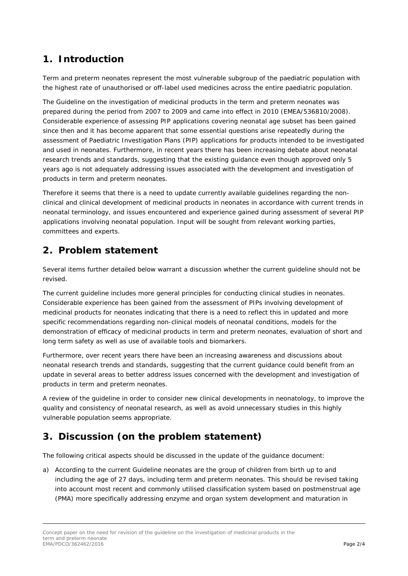# **1. Introduction**

Term and preterm neonates represent the most vulnerable subgroup of the paediatric population with the highest rate of unauthorised or off-label used medicines across the entire paediatric population.

The Guideline on the investigation of medicinal products in the term and preterm neonates was prepared during the period from 2007 to 2009 and came into effect in 2010 (EMEA/536810/2008). Considerable experience of assessing PIP applications covering neonatal age subset has been gained since then and it has become apparent that some essential questions arise repeatedly during the assessment of Paediatric Investigation Plans (PIP) applications for products intended to be investigated and used in neonates. Furthermore, in recent years there has been increasing debate about neonatal research trends and standards, suggesting that the existing guidance even though approved only 5 years ago is not adequately addressing issues associated with the development and investigation of products in term and preterm neonates.

Therefore it seems that there is a need to update currently available guidelines regarding the nonclinical and clinical development of medicinal products in neonates in accordance with current trends in neonatal terminology, and issues encountered and experience gained during assessment of several PIP applications involving neonatal population. Input will be sought from relevant working parties, committees and experts.

#### **2. Problem statement**

Several items further detailed below warrant a discussion whether the current guideline should not be revised.

The current guideline includes more general principles for conducting clinical studies in neonates. Considerable experience has been gained from the assessment of PIPs involving development of medicinal products for neonates indicating that there is a need to reflect this in updated and more specific recommendations regarding non-clinical models of neonatal conditions, models for the demonstration of efficacy of medicinal products in term and preterm neonates, evaluation of short and long term safety as well as use of available tools and biomarkers.

Furthermore, over recent years there have been an increasing awareness and discussions about neonatal research trends and standards, suggesting that the current guidance could benefit from an update in several areas to better address issues concerned with the development and investigation of products in term and preterm neonates.

A review of the guideline in order to consider new clinical developments in neonatology, to improve the quality and consistency of neonatal research, as well as avoid unnecessary studies in this highly vulnerable population seems appropriate.

# **3. Discussion (on the problem statement)**

The following critical aspects should be discussed in the update of the guidance document:

a) According to the current Guideline neonates are the group of children from birth up to and including the age of 27 days, including term and preterm neonates. This should be revised taking into account most recent and commonly utilised classification system based on postmenstrual age (PMA) more specifically addressing enzyme and organ system development and maturation in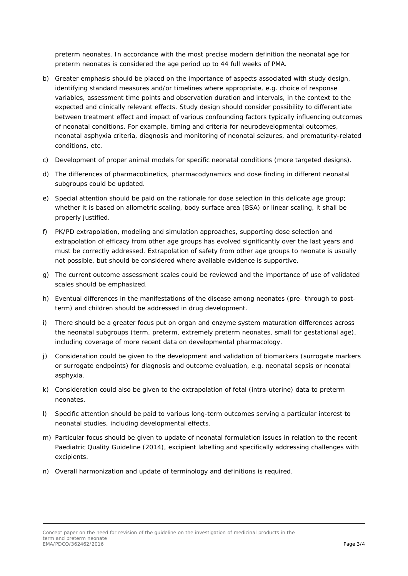preterm neonates. In accordance with the most precise modern definition the neonatal age for preterm neonates is considered the age period up to 44 full weeks of PMA.

- b) Greater emphasis should be placed on the importance of aspects associated with study design, identifying standard measures and/or timelines where appropriate, e.g. choice of response variables, assessment time points and observation duration and intervals, in the context to the expected and clinically relevant effects. Study design should consider possibility to differentiate between treatment effect and impact of various confounding factors typically influencing outcomes of neonatal conditions. For example, timing and criteria for neurodevelopmental outcomes, neonatal asphyxia criteria, diagnosis and monitoring of neonatal seizures, and prematurity-related conditions, etc.
- c) Development of proper animal models for specific neonatal conditions (more targeted designs).
- d) The differences of pharmacokinetics, pharmacodynamics and dose finding in different neonatal subgroups could be updated.
- e) Special attention should be paid on the rationale for dose selection in this delicate age group; whether it is based on allometric scaling, body surface area (BSA) or linear scaling, it shall be properly justified.
- f) PK/PD extrapolation, modeling and simulation approaches, supporting dose selection and extrapolation of efficacy from other age groups has evolved significantly over the last years and must be correctly addressed. Extrapolation of safety from other age groups to neonate is usually not possible, but should be considered where available evidence is supportive.
- g) The current outcome assessment scales could be reviewed and the importance of use of validated scales should be emphasized.
- h) Eventual differences in the manifestations of the disease among neonates (pre- through to postterm) and children should be addressed in drug development.
- i) There should be a greater focus put on organ and enzyme system maturation differences across the neonatal subgroups (term, preterm, extremely preterm neonates, small for gestational age), including coverage of more recent data on developmental pharmacology.
- j) Consideration could be given to the development and validation of biomarkers (surrogate markers or surrogate endpoints) for diagnosis and outcome evaluation, e.g. neonatal sepsis or neonatal asphyxia.
- k) Consideration could also be given to the extrapolation of fetal (intra-uterine) data to preterm neonates.
- l) Specific attention should be paid to various long-term outcomes serving a particular interest to neonatal studies, including developmental effects.
- m) Particular focus should be given to update of neonatal formulation issues in relation to the recent Paediatric Quality Guideline (2014), excipient labelling and specifically addressing challenges with excipients.
- n) Overall harmonization and update of terminology and definitions is required.